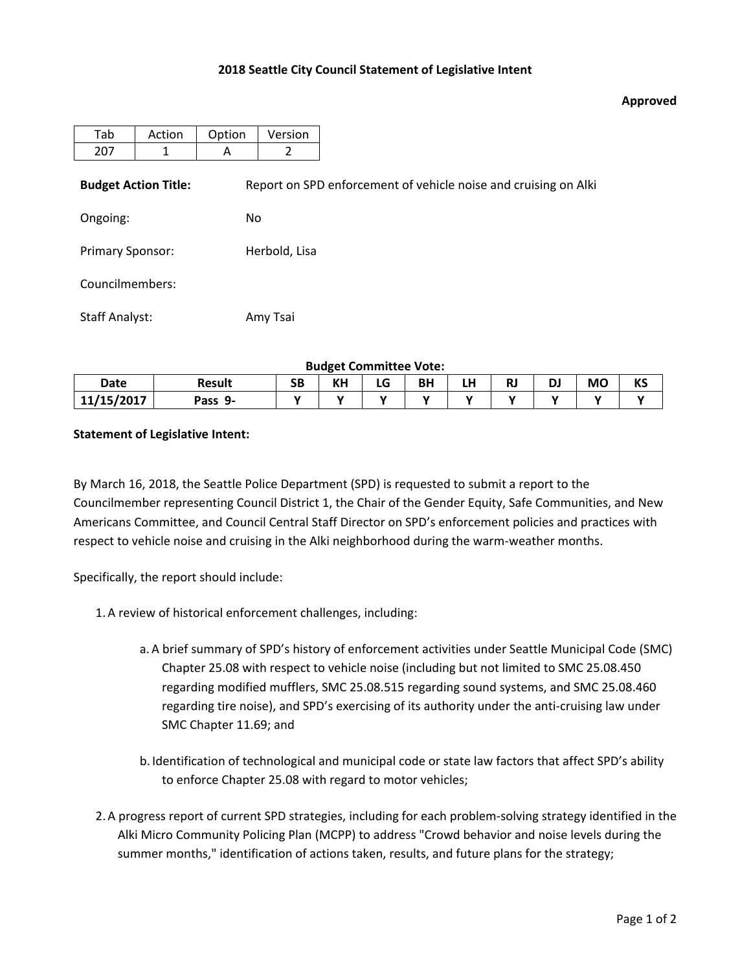## **2018 Seattle City Council Statement of Legislative Intent**

## **Approved**

| Tab                     | Action                      | Option | Version                                                         |  |  |  |  |  |  |  |
|-------------------------|-----------------------------|--------|-----------------------------------------------------------------|--|--|--|--|--|--|--|
| 207                     | 1                           | A      | 2                                                               |  |  |  |  |  |  |  |
|                         | <b>Budget Action Title:</b> |        | Report on SPD enforcement of vehicle noise and cruising on Alki |  |  |  |  |  |  |  |
| Ongoing:                |                             |        | <b>No</b>                                                       |  |  |  |  |  |  |  |
| <b>Primary Sponsor:</b> |                             |        | Herbold, Lisa                                                   |  |  |  |  |  |  |  |
| Councilmembers:         |                             |        |                                                                 |  |  |  |  |  |  |  |
| <b>Staff Analyst:</b>   |                             |        | Amy Tsai                                                        |  |  |  |  |  |  |  |

**Budget Committee Vote:**

| Date       | <b>Result</b> | SB | KH | ∽<br>LU | ΒH | .<br>பா | п. | D. | <b>MO</b> | <b>VC</b><br>כת |
|------------|---------------|----|----|---------|----|---------|----|----|-----------|-----------------|
| 11/15/2017 | -9<br>Pass    |    |    |         |    |         |    |    | . .       |                 |

## **Statement of Legislative Intent:**

By March 16, 2018, the Seattle Police Department (SPD) is requested to submit a report to the Councilmember representing Council District 1, the Chair of the Gender Equity, Safe Communities, and New Americans Committee, and Council Central Staff Director on SPD's enforcement policies and practices with respect to vehicle noise and cruising in the Alki neighborhood during the warm-weather months.

Specifically, the report should include:

- 1.A review of historical enforcement challenges, including:
	- a.A brief summary of SPD's history of enforcement activities under Seattle Municipal Code (SMC) Chapter 25.08 with respect to vehicle noise (including but not limited to SMC 25.08.450 regarding modified mufflers, SMC 25.08.515 regarding sound systems, and SMC 25.08.460 regarding tire noise), and SPD's exercising of its authority under the anti-cruising law under SMC Chapter 11.69; and
	- b. Identification of technological and municipal code or state law factors that affect SPD's ability to enforce Chapter 25.08 with regard to motor vehicles;
- 2.A progress report of current SPD strategies, including for each problem-solving strategy identified in the Alki Micro Community Policing Plan (MCPP) to address "Crowd behavior and noise levels during the summer months," identification of actions taken, results, and future plans for the strategy;